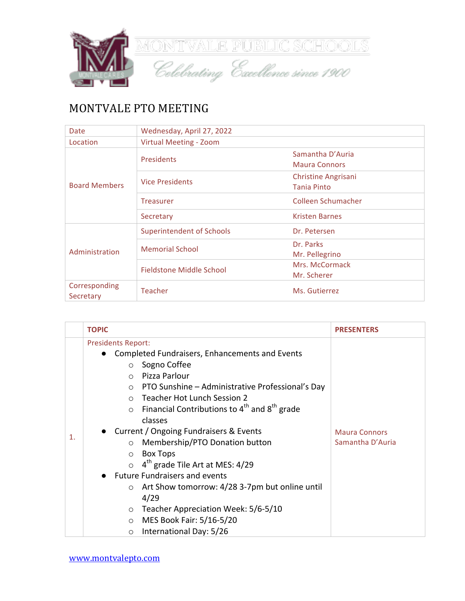

## MONTVALE PTO MEETING

| <b>Date</b>                | Wednesday, April 27, 2022        |                            |  |
|----------------------------|----------------------------------|----------------------------|--|
| Location                   | Virtual Meeting - Zoom           |                            |  |
| <b>Board Members</b>       | Presidents                       | Samantha D'Auria           |  |
|                            |                                  | <b>Maura Connors</b>       |  |
|                            | <b>Vice Presidents</b>           | <b>Christine Angrisani</b> |  |
|                            |                                  | <b>Tania Pinto</b>         |  |
|                            | <b>Treasurer</b>                 | Colleen Schumacher         |  |
|                            | Secretary                        | <b>Kristen Barnes</b>      |  |
| Administration             | <b>Superintendent of Schools</b> | Dr. Petersen               |  |
|                            | <b>Memorial School</b>           | Dr. Parks                  |  |
|                            |                                  | Mr. Pellegrino             |  |
|                            | Fieldstone Middle School         | Mrs. McCormack             |  |
|                            |                                  | Mr. Scherer                |  |
| Corresponding<br>Secretary | <b>Teacher</b>                   | Ms. Gutierrez              |  |

| $\mathbf{1}$ . |
|----------------|